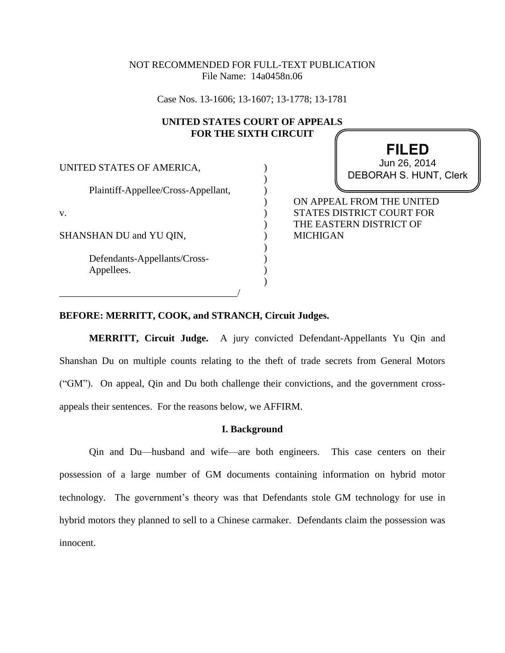# NOT RECOMMENDED FOR FULL-TEXT PUBLICATION File Name: 14a0458n.06

Case Nos. 13-1606; 13-1607; 13-1778; 13-1781

## **UNITED STATES COURT OF APPEALS FOR THE SIXTH CIRCUIT**

) ) ) ) ) ) ) ) ) ) )

| UNITED STATES OF AMERICA,                  |  |
|--------------------------------------------|--|
| Plaintiff-Appellee/Cross-Appellant,        |  |
| V.                                         |  |
| SHANSHAN DU and YU QIN,                    |  |
| Defendants-Appellants/Cross-<br>Appellees. |  |
|                                            |  |

**FILED** DEBORAH S. HUNT, Clerk Jun 26, 2014

ON APPEAL FROM THE UNITED STATES DISTRICT COURT FOR THE EASTERN DISTRICT OF MICHIGAN

### **BEFORE: MERRITT, COOK, and STRANCH, Circuit Judges.**

**MERRITT, Circuit Judge.** A jury convicted Defendant-Appellants Yu Qin and Shanshan Du on multiple counts relating to the theft of trade secrets from General Motors ("GM"). On appeal, Qin and Du both challenge their convictions, and the government crossappeals their sentences. For the reasons below, we AFFIRM.

#### **I. Background**

Qin and Du—husband and wife—are both engineers. This case centers on their possession of a large number of GM documents containing information on hybrid motor technology. The government's theory was that Defendants stole GM technology for use in hybrid motors they planned to sell to a Chinese carmaker. Defendants claim the possession was innocent.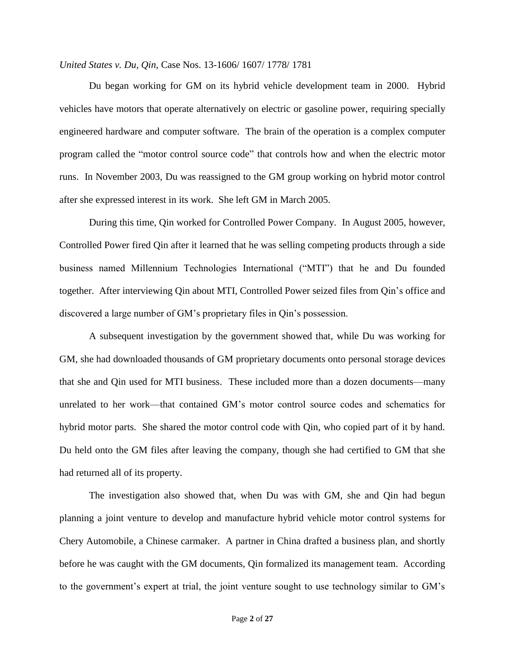Du began working for GM on its hybrid vehicle development team in 2000. Hybrid vehicles have motors that operate alternatively on electric or gasoline power, requiring specially engineered hardware and computer software. The brain of the operation is a complex computer program called the "motor control source code" that controls how and when the electric motor runs. In November 2003, Du was reassigned to the GM group working on hybrid motor control after she expressed interest in its work. She left GM in March 2005.

During this time, Qin worked for Controlled Power Company. In August 2005, however, Controlled Power fired Qin after it learned that he was selling competing products through a side business named Millennium Technologies International ("MTI") that he and Du founded together. After interviewing Qin about MTI, Controlled Power seized files from Qin's office and discovered a large number of GM's proprietary files in Qin's possession.

A subsequent investigation by the government showed that, while Du was working for GM, she had downloaded thousands of GM proprietary documents onto personal storage devices that she and Qin used for MTI business. These included more than a dozen documents—many unrelated to her work—that contained GM's motor control source codes and schematics for hybrid motor parts. She shared the motor control code with Qin, who copied part of it by hand. Du held onto the GM files after leaving the company, though she had certified to GM that she had returned all of its property.

The investigation also showed that, when Du was with GM, she and Qin had begun planning a joint venture to develop and manufacture hybrid vehicle motor control systems for Chery Automobile, a Chinese carmaker. A partner in China drafted a business plan, and shortly before he was caught with the GM documents, Qin formalized its management team. According to the government's expert at trial, the joint venture sought to use technology similar to GM's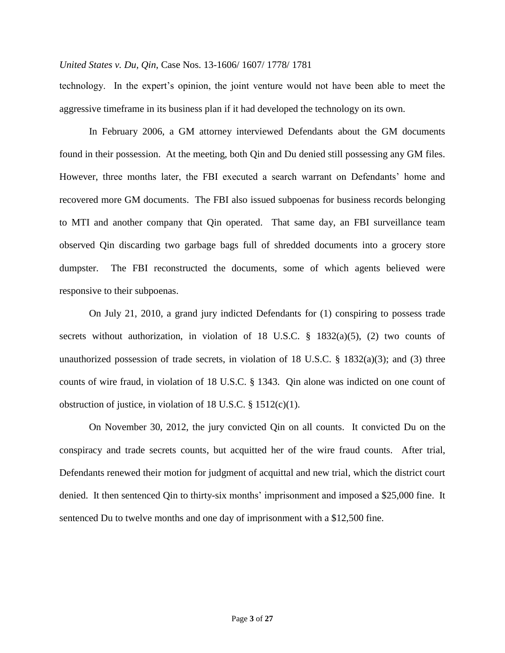technology. In the expert's opinion, the joint venture would not have been able to meet the aggressive timeframe in its business plan if it had developed the technology on its own.

In February 2006, a GM attorney interviewed Defendants about the GM documents found in their possession. At the meeting, both Qin and Du denied still possessing any GM files. However, three months later, the FBI executed a search warrant on Defendants' home and recovered more GM documents. The FBI also issued subpoenas for business records belonging to MTI and another company that Qin operated. That same day, an FBI surveillance team observed Qin discarding two garbage bags full of shredded documents into a grocery store dumpster. The FBI reconstructed the documents, some of which agents believed were responsive to their subpoenas.

On July 21, 2010, a grand jury indicted Defendants for (1) conspiring to possess trade secrets without authorization, in violation of 18 U.S.C.  $\S$  1832(a)(5), (2) two counts of unauthorized possession of trade secrets, in violation of 18 U.S.C.  $\S$  1832(a)(3); and (3) three counts of wire fraud, in violation of 18 U.S.C. § 1343. Qin alone was indicted on one count of obstruction of justice, in violation of 18 U.S.C. § 1512(c)(1).

On November 30, 2012, the jury convicted Qin on all counts. It convicted Du on the conspiracy and trade secrets counts, but acquitted her of the wire fraud counts. After trial, Defendants renewed their motion for judgment of acquittal and new trial, which the district court denied. It then sentenced Qin to thirty-six months' imprisonment and imposed a \$25,000 fine. It sentenced Du to twelve months and one day of imprisonment with a \$12,500 fine.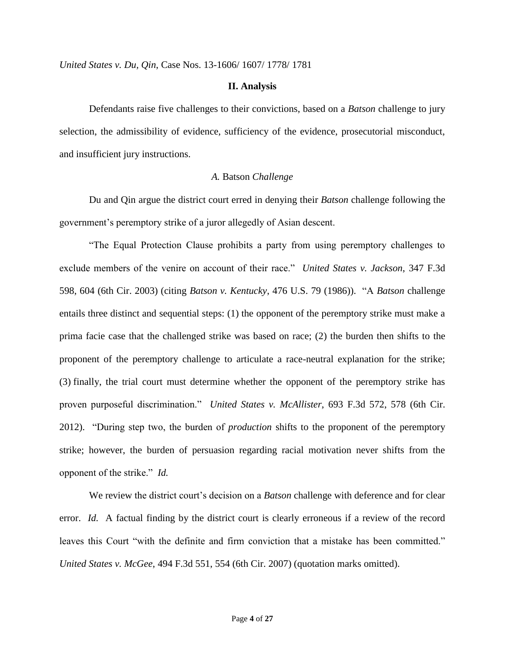#### **II. Analysis**

Defendants raise five challenges to their convictions, based on a *Batson* challenge to jury selection, the admissibility of evidence, sufficiency of the evidence, prosecutorial misconduct, and insufficient jury instructions.

### *A.* Batson *Challenge*

Du and Qin argue the district court erred in denying their *Batson* challenge following the government's peremptory strike of a juror allegedly of Asian descent.

"The Equal Protection Clause prohibits a party from using peremptory challenges to exclude members of the venire on account of their race." *United States v. Jackson*, 347 F.3d 598, 604 (6th Cir. 2003) (citing *Batson v. Kentucky*, 476 U.S. 79 (1986)). "A *Batson* challenge entails three distinct and sequential steps: (1) the opponent of the peremptory strike must make a prima facie case that the challenged strike was based on race; (2) the burden then shifts to the proponent of the peremptory challenge to articulate a race-neutral explanation for the strike; (3) finally, the trial court must determine whether the opponent of the peremptory strike has proven purposeful discrimination." *United States v. McAllister*, 693 F.3d 572, 578 (6th Cir. 2012). "During step two, the burden of *production* shifts to the proponent of the peremptory strike; however, the burden of persuasion regarding racial motivation never shifts from the opponent of the strike." *Id.*

We review the district court's decision on a *Batson* challenge with deference and for clear error. *Id.* A factual finding by the district court is clearly erroneous if a review of the record leaves this Court "with the definite and firm conviction that a mistake has been committed." *United States v. McGee*, 494 F.3d 551, 554 (6th Cir. 2007) (quotation marks omitted).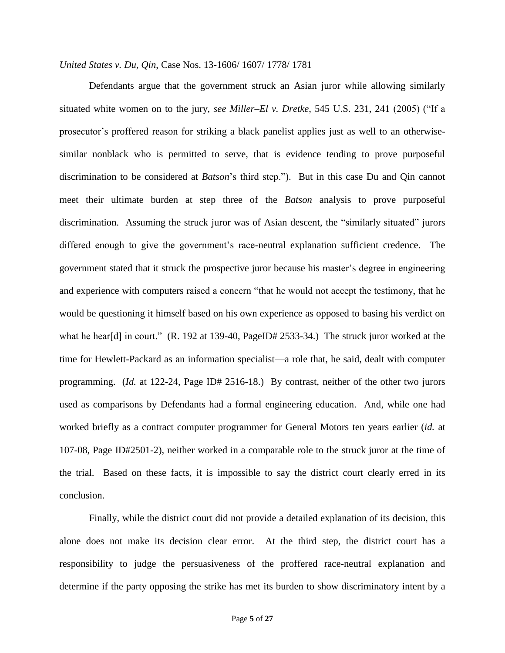Defendants argue that the government struck an Asian juror while allowing similarly situated white women on to the jury, *see Miller–El v. Dretke*, 545 U.S. 231, 241 (2005) ("If a prosecutor's proffered reason for striking a black panelist applies just as well to an otherwisesimilar nonblack who is permitted to serve, that is evidence tending to prove purposeful discrimination to be considered at *Batson*'s third step."). But in this case Du and Qin cannot meet their ultimate burden at step three of the *Batson* analysis to prove purposeful discrimination. Assuming the struck juror was of Asian descent, the "similarly situated" jurors differed enough to give the government's race-neutral explanation sufficient credence. The government stated that it struck the prospective juror because his master's degree in engineering and experience with computers raised a concern "that he would not accept the testimony, that he would be questioning it himself based on his own experience as opposed to basing his verdict on what he hear[d] in court." (R. 192 at 139-40, PageID# 2533-34.) The struck juror worked at the time for Hewlett-Packard as an information specialist—a role that, he said, dealt with computer programming. (*Id.* at 122-24, Page ID# 2516-18.) By contrast, neither of the other two jurors used as comparisons by Defendants had a formal engineering education. And, while one had worked briefly as a contract computer programmer for General Motors ten years earlier (*id.* at 107-08, Page ID#2501-2), neither worked in a comparable role to the struck juror at the time of the trial. Based on these facts, it is impossible to say the district court clearly erred in its conclusion.

Finally, while the district court did not provide a detailed explanation of its decision, this alone does not make its decision clear error. At the third step, the district court has a responsibility to judge the persuasiveness of the proffered race-neutral explanation and determine if the party opposing the strike has met its burden to show discriminatory intent by a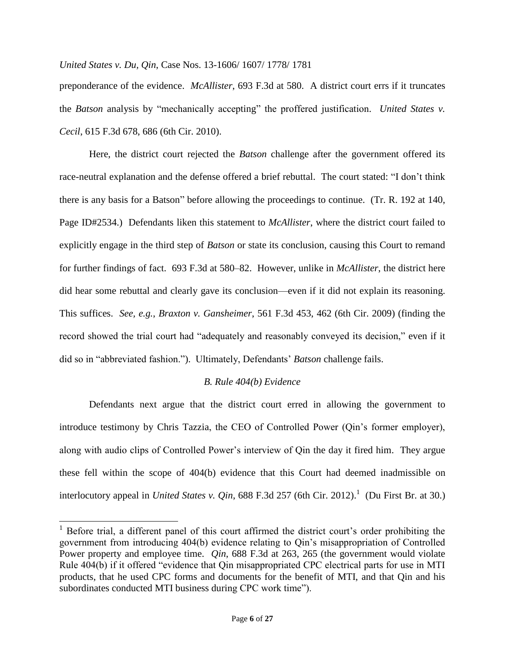preponderance of the evidence. *McAllister*, 693 F.3d at 580. A district court errs if it truncates the *Batson* analysis by "mechanically accepting" the proffered justification. *United States v. Cecil*, 615 F.3d 678, 686 (6th Cir. 2010).

Here, the district court rejected the *Batson* challenge after the government offered its race-neutral explanation and the defense offered a brief rebuttal. The court stated: "I don't think there is any basis for a Batson" before allowing the proceedings to continue. (Tr. R. 192 at 140, Page ID#2534.) Defendants liken this statement to *McAllister*, where the district court failed to explicitly engage in the third step of *Batson* or state its conclusion, causing this Court to remand for further findings of fact. 693 F.3d at 580–82. However, unlike in *McAllister*, the district here did hear some rebuttal and clearly gave its conclusion—even if it did not explain its reasoning. This suffices. *See, e.g.*, *Braxton v. Gansheimer*, 561 F.3d 453, 462 (6th Cir. 2009) (finding the record showed the trial court had "adequately and reasonably conveyed its decision," even if it did so in "abbreviated fashion."). Ultimately, Defendants' *Batson* challenge fails.

# *B. Rule 404(b) Evidence*

Defendants next argue that the district court erred in allowing the government to introduce testimony by Chris Tazzia, the CEO of Controlled Power (Qin's former employer), along with audio clips of Controlled Power's interview of Qin the day it fired him. They argue these fell within the scope of 404(b) evidence that this Court had deemed inadmissible on interlocutory appeal in *United States v. Qin*, 688 F.3d 257 (6th Cir. 2012).<sup>1</sup> (Du First Br. at 30.)

l

 $1$  Before trial, a different panel of this court affirmed the district court's order prohibiting the government from introducing 404(b) evidence relating to Qin's misappropriation of Controlled Power property and employee time. *Qin*, 688 F.3d at 263, 265 (the government would violate Rule 404(b) if it offered "evidence that Qin misappropriated CPC electrical parts for use in MTI products, that he used CPC forms and documents for the benefit of MTI, and that Qin and his subordinates conducted MTI business during CPC work time").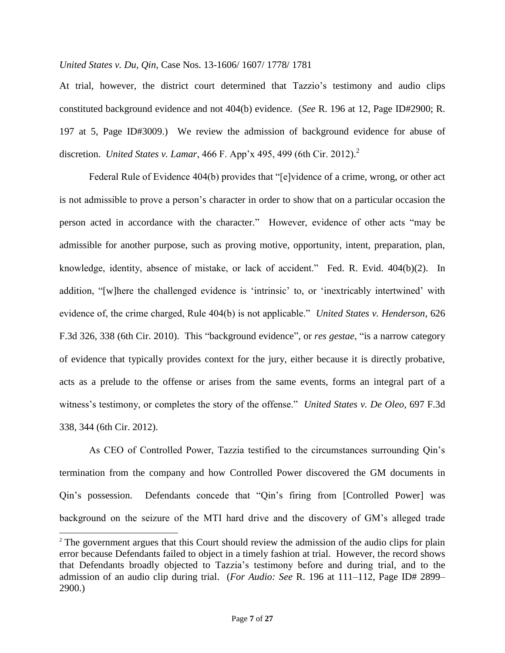At trial, however, the district court determined that Tazzio's testimony and audio clips constituted background evidence and not 404(b) evidence. (*See* R. 196 at 12, Page ID#2900; R. 197 at 5, Page ID#3009.)We review the admission of background evidence for abuse of discretion. *United States v. Lamar*, 466 F. App'x 495, 499 (6th Cir. 2012). 2

Federal Rule of Evidence 404(b) provides that "[e]vidence of a crime, wrong, or other act is not admissible to prove a person's character in order to show that on a particular occasion the person acted in accordance with the character." However, evidence of other acts "may be admissible for another purpose, such as proving motive, opportunity, intent, preparation, plan, knowledge, identity, absence of mistake, or lack of accident." Fed. R. Evid. 404(b)(2). In addition, "[w]here the challenged evidence is 'intrinsic' to, or 'inextricably intertwined' with evidence of, the crime charged, Rule 404(b) is not applicable." *United States v. Henderson*, 626 F.3d 326, 338 (6th Cir. 2010). This "background evidence", or *res gestae*, "is a narrow category of evidence that typically provides context for the jury, either because it is directly probative, acts as a prelude to the offense or arises from the same events, forms an integral part of a witness's testimony, or completes the story of the offense." *United States v. De Oleo*, 697 F.3d 338, 344 (6th Cir. 2012).

As CEO of Controlled Power, Tazzia testified to the circumstances surrounding Qin's termination from the company and how Controlled Power discovered the GM documents in Qin's possession. Defendants concede that "Qin's firing from [Controlled Power] was background on the seizure of the MTI hard drive and the discovery of GM's alleged trade

 $\overline{a}$ 

<sup>&</sup>lt;sup>2</sup> The government argues that this Court should review the admission of the audio clips for plain error because Defendants failed to object in a timely fashion at trial. However, the record shows that Defendants broadly objected to Tazzia's testimony before and during trial, and to the admission of an audio clip during trial. (*For Audio: See* R. 196 at 111–112, Page ID# 2899– 2900.)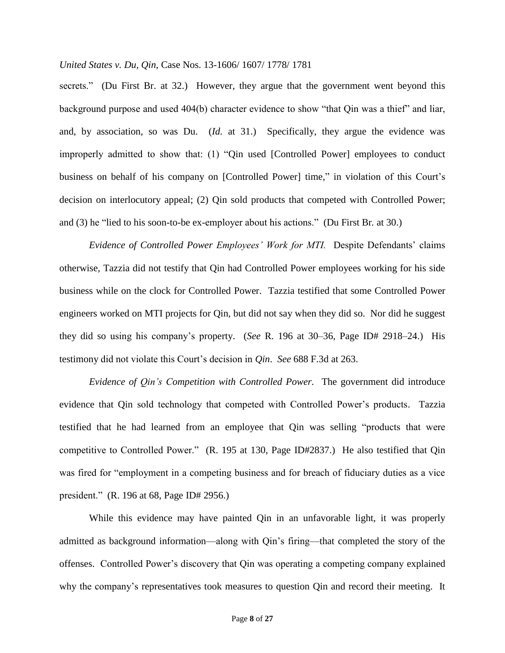secrets." (Du First Br. at 32.) However, they argue that the government went beyond this background purpose and used 404(b) character evidence to show "that Qin was a thief" and liar, and, by association, so was Du. (*Id.* at 31.) Specifically, they argue the evidence was improperly admitted to show that: (1) "Qin used [Controlled Power] employees to conduct business on behalf of his company on [Controlled Power] time," in violation of this Court's decision on interlocutory appeal; (2) Qin sold products that competed with Controlled Power; and (3) he "lied to his soon-to-be ex-employer about his actions." (Du First Br*.* at 30.)

*Evidence of Controlled Power Employees' Work for MTI.* Despite Defendants' claims otherwise, Tazzia did not testify that Qin had Controlled Power employees working for his side business while on the clock for Controlled Power. Tazzia testified that some Controlled Power engineers worked on MTI projects for Qin, but did not say when they did so. Nor did he suggest they did so using his company's property. (*See* R. 196 at 30–36, Page ID# 2918–24.) His testimony did not violate this Court's decision in *Qin*. *See* 688 F.3d at 263.

*Evidence of Qin's Competition with Controlled Power.* The government did introduce evidence that Qin sold technology that competed with Controlled Power's products. Tazzia testified that he had learned from an employee that Qin was selling "products that were competitive to Controlled Power." (R. 195 at 130, Page ID#2837.)He also testified that Qin was fired for "employment in a competing business and for breach of fiduciary duties as a vice president." (R. 196 at 68, Page ID# 2956.)

While this evidence may have painted Qin in an unfavorable light, it was properly admitted as background information—along with Qin's firing—that completed the story of the offenses. Controlled Power's discovery that Qin was operating a competing company explained why the company's representatives took measures to question Qin and record their meeting. It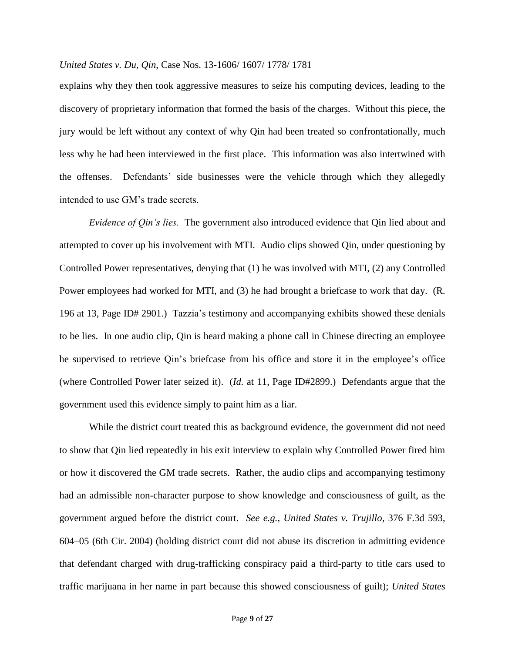explains why they then took aggressive measures to seize his computing devices, leading to the discovery of proprietary information that formed the basis of the charges. Without this piece, the jury would be left without any context of why Qin had been treated so confrontationally, much less why he had been interviewed in the first place. This information was also intertwined with the offenses. Defendants' side businesses were the vehicle through which they allegedly intended to use GM's trade secrets.

*Evidence of Qin's lies.* The government also introduced evidence that Qin lied about and attempted to cover up his involvement with MTI. Audio clips showed Qin, under questioning by Controlled Power representatives, denying that (1) he was involved with MTI, (2) any Controlled Power employees had worked for MTI, and (3) he had brought a briefcase to work that day. (R. 196 at 13, Page ID# 2901.) Tazzia's testimony and accompanying exhibits showed these denials to be lies. In one audio clip, Qin is heard making a phone call in Chinese directing an employee he supervised to retrieve Qin's briefcase from his office and store it in the employee's office (where Controlled Power later seized it). (*Id.* at 11, Page ID#2899.) Defendants argue that the government used this evidence simply to paint him as a liar.

While the district court treated this as background evidence, the government did not need to show that Qin lied repeatedly in his exit interview to explain why Controlled Power fired him or how it discovered the GM trade secrets. Rather, the audio clips and accompanying testimony had an admissible non-character purpose to show knowledge and consciousness of guilt, as the government argued before the district court. *See e.g.*, *United States v. Trujillo*, 376 F.3d 593, 604–05 (6th Cir. 2004) (holding district court did not abuse its discretion in admitting evidence that defendant charged with drug-trafficking conspiracy paid a third-party to title cars used to traffic marijuana in her name in part because this showed consciousness of guilt); *United States*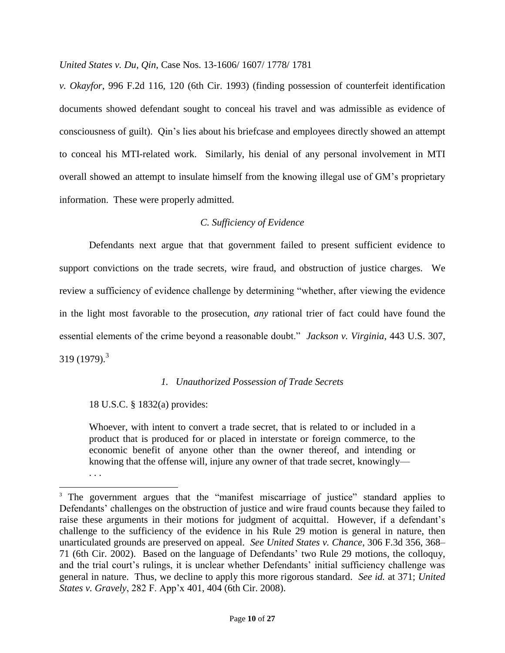*v. Okayfor*, 996 F.2d 116, 120 (6th Cir. 1993) (finding possession of counterfeit identification documents showed defendant sought to conceal his travel and was admissible as evidence of consciousness of guilt). Qin's lies about his briefcase and employees directly showed an attempt to conceal his MTI-related work. Similarly, his denial of any personal involvement in MTI overall showed an attempt to insulate himself from the knowing illegal use of GM's proprietary information. These were properly admitted.

# *C. Sufficiency of Evidence*

Defendants next argue that that government failed to present sufficient evidence to support convictions on the trade secrets, wire fraud, and obstruction of justice charges. We review a sufficiency of evidence challenge by determining "whether, after viewing the evidence in the light most favorable to the prosecution, *any* rational trier of fact could have found the essential elements of the crime beyond a reasonable doubt." *Jackson v. Virginia*, 443 U.S. 307, 319 (1979).<sup>3</sup>

## *1. Unauthorized Possession of Trade Secrets*

## 18 U.S.C. § 1832(a) provides:

. . .

 $\overline{a}$ 

Whoever, with intent to convert a trade secret, that is related to or included in a product that is produced for or placed in interstate or foreign commerce, to the economic benefit of anyone other than the owner thereof, and intending or knowing that the offense will, injure any owner of that trade secret, knowingly—

<sup>&</sup>lt;sup>3</sup> The government argues that the "manifest miscarriage of justice" standard applies to Defendants' challenges on the obstruction of justice and wire fraud counts because they failed to raise these arguments in their motions for judgment of acquittal. However, if a defendant's challenge to the sufficiency of the evidence in his Rule 29 motion is general in nature, then unarticulated grounds are preserved on appeal. *See United States v. Chance*, 306 F.3d 356, 368– 71 (6th Cir. 2002). Based on the language of Defendants' two Rule 29 motions, the colloquy, and the trial court's rulings, it is unclear whether Defendants' initial sufficiency challenge was general in nature. Thus, we decline to apply this more rigorous standard. *See id.* at 371; *United States v. Gravely*, 282 F. App'x 401, 404 (6th Cir. 2008).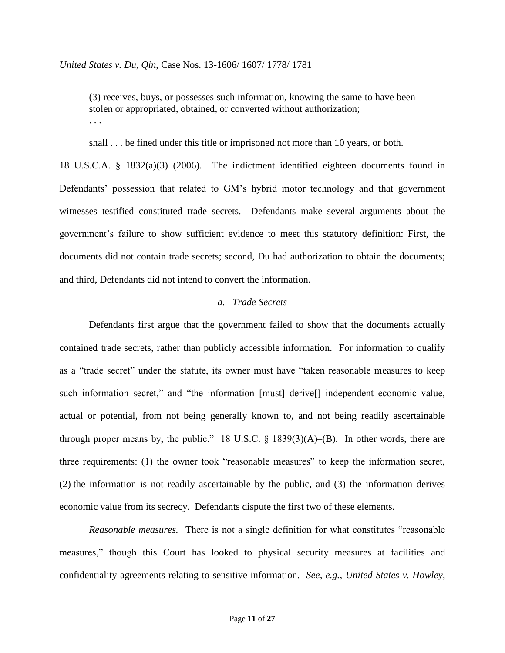(3) receives, buys, or possesses such information, knowing the same to have been stolen or appropriated, obtained, or converted without authorization; . . .

shall . . . be fined under this title or imprisoned not more than 10 years, or both.

18 U.S.C.A. § 1832(a)(3) (2006). The indictment identified eighteen documents found in Defendants' possession that related to GM's hybrid motor technology and that government witnesses testified constituted trade secrets. Defendants make several arguments about the government's failure to show sufficient evidence to meet this statutory definition: First, the documents did not contain trade secrets; second, Du had authorization to obtain the documents; and third, Defendants did not intend to convert the information.

### *a. Trade Secrets*

Defendants first argue that the government failed to show that the documents actually contained trade secrets, rather than publicly accessible information. For information to qualify as a "trade secret" under the statute, its owner must have "taken reasonable measures to keep such information secret," and "the information [must] derive[] independent economic value, actual or potential, from not being generally known to, and not being readily ascertainable through proper means by, the public." 18 U.S.C.  $\S$  1839(3)(A)–(B). In other words, there are three requirements: (1) the owner took "reasonable measures" to keep the information secret, (2) the information is not readily ascertainable by the public, and (3) the information derives economic value from its secrecy. Defendants dispute the first two of these elements.

*Reasonable measures.* There is not a single definition for what constitutes "reasonable measures," though this Court has looked to physical security measures at facilities and confidentiality agreements relating to sensitive information. *See, e.g.*, *United States v. Howley*,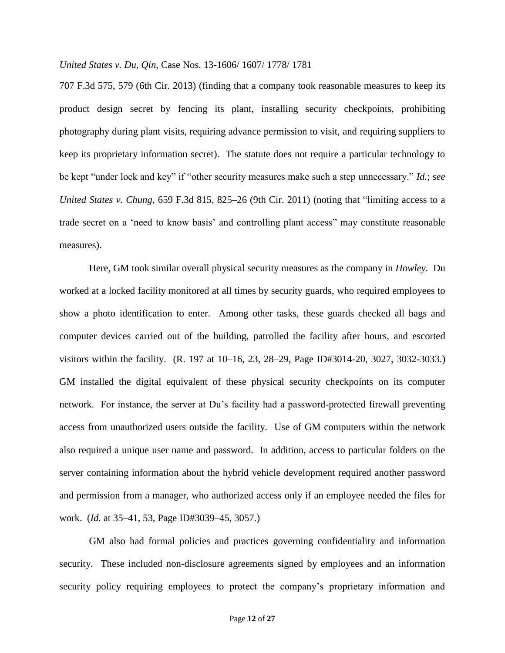707 F.3d 575, 579 (6th Cir. 2013) (finding that a company took reasonable measures to keep its product design secret by fencing its plant, installing security checkpoints, prohibiting photography during plant visits, requiring advance permission to visit, and requiring suppliers to keep its proprietary information secret). The statute does not require a particular technology to be kept "under lock and key" if "other security measures make such a step unnecessary." *Id.*; *see United States v. Chung*, 659 F.3d 815, 825–26 (9th Cir. 2011) (noting that "limiting access to a trade secret on a 'need to know basis' and controlling plant access" may constitute reasonable measures).

Here, GM took similar overall physical security measures as the company in *Howley*. Du worked at a locked facility monitored at all times by security guards, who required employees to show a photo identification to enter. Among other tasks, these guards checked all bags and computer devices carried out of the building, patrolled the facility after hours, and escorted visitors within the facility. (R. 197 at 10–16, 23, 28–29, Page ID#3014-20, 3027, 3032-3033.) GM installed the digital equivalent of these physical security checkpoints on its computer network. For instance, the server at Du's facility had a password-protected firewall preventing access from unauthorized users outside the facility. Use of GM computers within the network also required a unique user name and password. In addition, access to particular folders on the server containing information about the hybrid vehicle development required another password and permission from a manager, who authorized access only if an employee needed the files for work. (*Id.* at 35–41, 53, Page ID#3039–45, 3057.)

GM also had formal policies and practices governing confidentiality and information security. These included non-disclosure agreements signed by employees and an information security policy requiring employees to protect the company's proprietary information and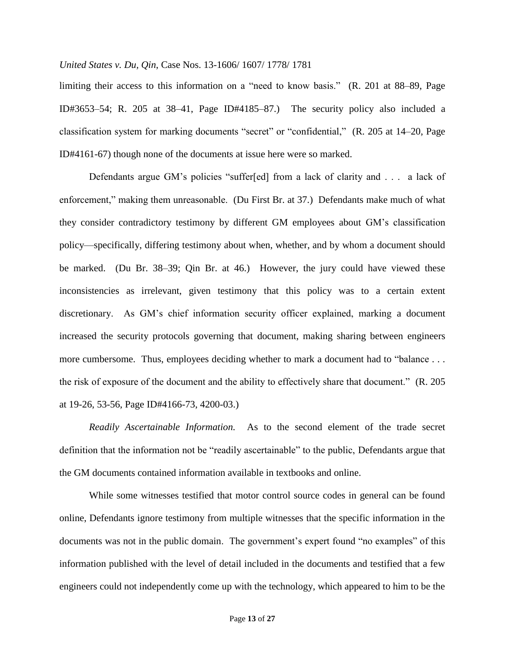limiting their access to this information on a "need to know basis." (R. 201 at 88–89, Page ID#3653–54; R. 205 at 38–41, Page ID#4185–87.)The security policy also included a classification system for marking documents "secret" or "confidential," (R. 205 at 14–20, Page ID#4161-67) though none of the documents at issue here were so marked.

Defendants argue GM's policies "suffer[ed] from a lack of clarity and . . . a lack of enforcement," making them unreasonable. (Du First Br. at 37.) Defendants make much of what they consider contradictory testimony by different GM employees about GM's classification policy—specifically, differing testimony about when, whether, and by whom a document should be marked. (Du Br. 38–39; Qin Br. at 46.) However, the jury could have viewed these inconsistencies as irrelevant, given testimony that this policy was to a certain extent discretionary. As GM's chief information security officer explained, marking a document increased the security protocols governing that document, making sharing between engineers more cumbersome. Thus, employees deciding whether to mark a document had to "balance . . . the risk of exposure of the document and the ability to effectively share that document." (R. 205 at 19-26, 53-56, Page ID#4166-73, 4200-03.)

*Readily Ascertainable Information.* As to the second element of the trade secret definition that the information not be "readily ascertainable" to the public, Defendants argue that the GM documents contained information available in textbooks and online.

While some witnesses testified that motor control source codes in general can be found online, Defendants ignore testimony from multiple witnesses that the specific information in the documents was not in the public domain. The government's expert found "no examples" of this information published with the level of detail included in the documents and testified that a few engineers could not independently come up with the technology, which appeared to him to be the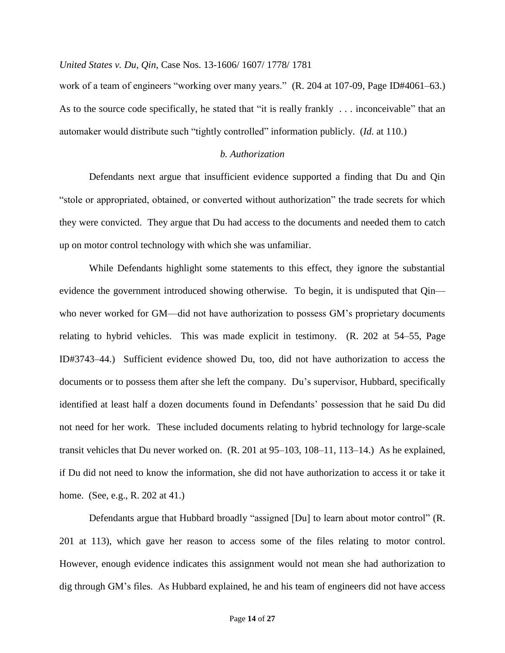work of a team of engineers "working over many years." (R. 204 at 107-09, Page ID#4061–63.) As to the source code specifically, he stated that "it is really frankly . . . inconceivable" that an automaker would distribute such "tightly controlled" information publicly. (*Id.* at 110.)

## *b. Authorization*

Defendants next argue that insufficient evidence supported a finding that Du and Qin "stole or appropriated, obtained, or converted without authorization" the trade secrets for which they were convicted. They argue that Du had access to the documents and needed them to catch up on motor control technology with which she was unfamiliar.

While Defendants highlight some statements to this effect, they ignore the substantial evidence the government introduced showing otherwise. To begin, it is undisputed that Qin who never worked for GM—did not have authorization to possess GM's proprietary documents relating to hybrid vehicles. This was made explicit in testimony. (R. 202 at 54–55, Page ID#3743–44.) Sufficient evidence showed Du, too, did not have authorization to access the documents or to possess them after she left the company. Du's supervisor, Hubbard, specifically identified at least half a dozen documents found in Defendants' possession that he said Du did not need for her work. These included documents relating to hybrid technology for large-scale transit vehicles that Du never worked on. (R. 201 at 95–103, 108–11, 113–14.) As he explained, if Du did not need to know the information, she did not have authorization to access it or take it home. (See, e.g., R. 202 at 41.)

Defendants argue that Hubbard broadly "assigned [Du] to learn about motor control" (R. 201 at 113), which gave her reason to access some of the files relating to motor control. However, enough evidence indicates this assignment would not mean she had authorization to dig through GM's files. As Hubbard explained, he and his team of engineers did not have access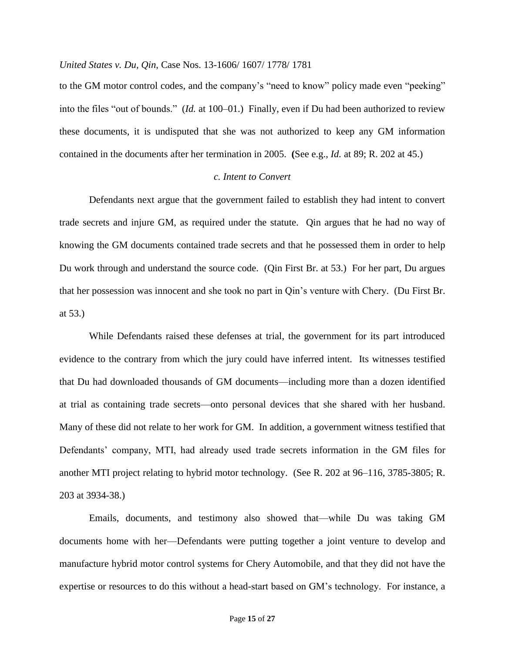to the GM motor control codes, and the company's "need to know" policy made even "peeking" into the files "out of bounds." (*Id.* at 100–01.)Finally, even if Du had been authorized to review these documents, it is undisputed that she was not authorized to keep any GM information contained in the documents after her termination in 2005. **(**See e.g., *Id.* at 89; R. 202 at 45.)

### *c. Intent to Convert*

Defendants next argue that the government failed to establish they had intent to convert trade secrets and injure GM, as required under the statute. Qin argues that he had no way of knowing the GM documents contained trade secrets and that he possessed them in order to help Du work through and understand the source code. (Qin First Br. at 53.)For her part, Du argues that her possession was innocent and she took no part in Qin's venture with Chery. (Du First Br. at 53.)

While Defendants raised these defenses at trial, the government for its part introduced evidence to the contrary from which the jury could have inferred intent. Its witnesses testified that Du had downloaded thousands of GM documents—including more than a dozen identified at trial as containing trade secrets—onto personal devices that she shared with her husband. Many of these did not relate to her work for GM. In addition, a government witness testified that Defendants' company, MTI, had already used trade secrets information in the GM files for another MTI project relating to hybrid motor technology. (See R. 202 at 96–116, 3785-3805; R. 203 at 3934-38.)

Emails, documents, and testimony also showed that—while Du was taking GM documents home with her—Defendants were putting together a joint venture to develop and manufacture hybrid motor control systems for Chery Automobile, and that they did not have the expertise or resources to do this without a head-start based on GM's technology. For instance, a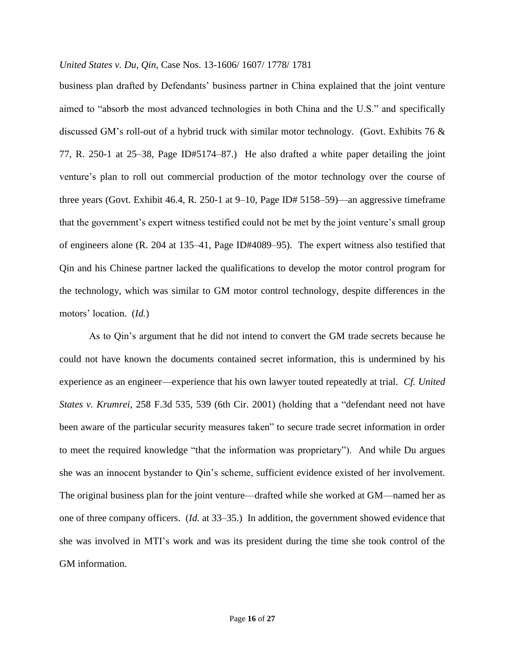business plan drafted by Defendants' business partner in China explained that the joint venture aimed to "absorb the most advanced technologies in both China and the U.S." and specifically discussed GM's roll-out of a hybrid truck with similar motor technology. (Govt. Exhibits 76 & 77, R. 250-1 at 25–38, Page ID#5174–87.)He also drafted a white paper detailing the joint venture's plan to roll out commercial production of the motor technology over the course of three years (Govt. Exhibit 46.4, R. 250-1 at 9–10, Page ID# 5158–59)—an aggressive timeframe that the government's expert witness testified could not be met by the joint venture's small group of engineers alone (R. 204 at 135–41, Page ID#4089–95). The expert witness also testified that Qin and his Chinese partner lacked the qualifications to develop the motor control program for the technology, which was similar to GM motor control technology, despite differences in the motors' location. (*Id.*)

As to Qin's argument that he did not intend to convert the GM trade secrets because he could not have known the documents contained secret information, this is undermined by his experience as an engineer—experience that his own lawyer touted repeatedly at trial. *Cf. United States v. Krumrei*, 258 F.3d 535, 539 (6th Cir. 2001) (holding that a "defendant need not have been aware of the particular security measures taken" to secure trade secret information in order to meet the required knowledge "that the information was proprietary"). And while Du argues she was an innocent bystander to Qin's scheme, sufficient evidence existed of her involvement. The original business plan for the joint venture—drafted while she worked at GM—named her as one of three company officers. (*Id.* at 33–35.) In addition, the government showed evidence that she was involved in MTI's work and was its president during the time she took control of the GM information.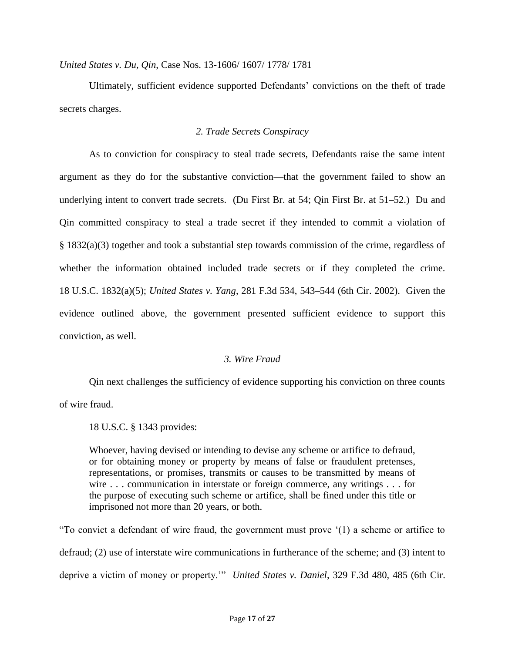Ultimately, sufficient evidence supported Defendants' convictions on the theft of trade secrets charges.

# *2. Trade Secrets Conspiracy*

As to conviction for conspiracy to steal trade secrets, Defendants raise the same intent argument as they do for the substantive conviction—that the government failed to show an underlying intent to convert trade secrets. (Du First Br. at 54; Qin First Br. at 51–52.)Du and Qin committed conspiracy to steal a trade secret if they intended to commit a violation of § 1832(a)(3) together and took a substantial step towards commission of the crime, regardless of whether the information obtained included trade secrets or if they completed the crime. 18 U.S.C. 1832(a)(5); *United States v. Yang*, 281 F.3d 534, 543–544 (6th Cir. 2002). Given the evidence outlined above, the government presented sufficient evidence to support this conviction, as well.

## *3. Wire Fraud*

Qin next challenges the sufficiency of evidence supporting his conviction on three counts of wire fraud.

18 U.S.C. § 1343 provides:

Whoever, having devised or intending to devise any scheme or artifice to defraud, or for obtaining money or property by means of false or fraudulent pretenses, representations, or promises, transmits or causes to be transmitted by means of wire . . . communication in interstate or foreign commerce, any writings . . . for the purpose of executing such scheme or artifice, shall be fined under this title or imprisoned not more than 20 years, or both.

"To convict a defendant of wire fraud, the government must prove '(1) a scheme or artifice to defraud; (2) use of interstate wire communications in furtherance of the scheme; and (3) intent to deprive a victim of money or property.'" *United States v. Daniel*, 329 F.3d 480, 485 (6th Cir.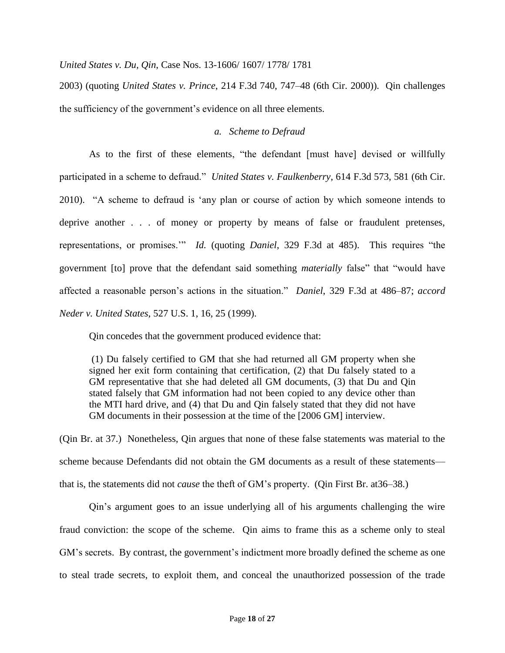2003) (quoting *United States v. Prince*, 214 F.3d 740, 747–48 (6th Cir. 2000)). Qin challenges the sufficiency of the government's evidence on all three elements.

## *a. Scheme to Defraud*

As to the first of these elements, "the defendant [must have] devised or willfully participated in a scheme to defraud." *United States v. Faulkenberry*, 614 F.3d 573, 581 (6th Cir. 2010). "A scheme to defraud is 'any plan or course of action by which someone intends to deprive another . . . of money or property by means of false or fraudulent pretenses, representations, or promises.'" *Id.* (quoting *Daniel*, 329 F.3d at 485). This requires "the government [to] prove that the defendant said something *materially* false" that "would have affected a reasonable person's actions in the situation." *Daniel*, 329 F.3d at 486–87; *accord Neder v. United States*, 527 U.S. 1, 16, 25 (1999).

Qin concedes that the government produced evidence that:

(1) Du falsely certified to GM that she had returned all GM property when she signed her exit form containing that certification, (2) that Du falsely stated to a GM representative that she had deleted all GM documents, (3) that Du and Qin stated falsely that GM information had not been copied to any device other than the MTI hard drive, and (4) that Du and Qin falsely stated that they did not have GM documents in their possession at the time of the [2006 GM] interview.

(Qin Br. at 37.) Nonetheless, Qin argues that none of these false statements was material to the scheme because Defendants did not obtain the GM documents as a result of these statements that is, the statements did not *cause* the theft of GM's property. (Qin First Br. at36–38.)

Qin's argument goes to an issue underlying all of his arguments challenging the wire fraud conviction: the scope of the scheme. Qin aims to frame this as a scheme only to steal GM's secrets. By contrast, the government's indictment more broadly defined the scheme as one to steal trade secrets, to exploit them, and conceal the unauthorized possession of the trade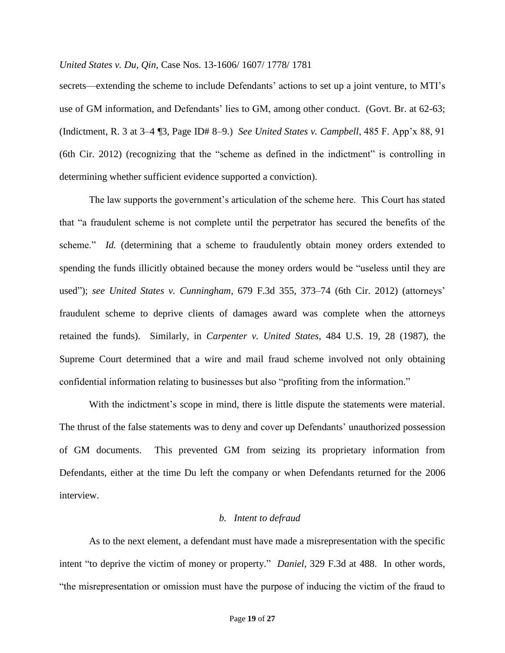secrets—extending the scheme to include Defendants' actions to set up a joint venture, to MTI's use of GM information, and Defendants' lies to GM, among other conduct. (Govt. Br. at 62-63; (Indictment, R. 3 at 3–4 ¶3, Page ID# 8–9.) *See United States v. Campbell*, 485 F. App'x 88, 91 (6th Cir. 2012) (recognizing that the "scheme as defined in the indictment" is controlling in determining whether sufficient evidence supported a conviction).

The law supports the government's articulation of the scheme here. This Court has stated that "a fraudulent scheme is not complete until the perpetrator has secured the benefits of the scheme." *Id.* (determining that a scheme to fraudulently obtain money orders extended to spending the funds illicitly obtained because the money orders would be "useless until they are used"); *see United States v. Cunningham*, 679 F.3d 355, 373–74 (6th Cir. 2012) (attorneys' fraudulent scheme to deprive clients of damages award was complete when the attorneys retained the funds). Similarly, in *Carpenter v. United States*, 484 U.S. 19, 28 (1987), the Supreme Court determined that a wire and mail fraud scheme involved not only obtaining confidential information relating to businesses but also "profiting from the information."

With the indictment's scope in mind, there is little dispute the statements were material. The thrust of the false statements was to deny and cover up Defendants' unauthorized possession of GM documents. This prevented GM from seizing its proprietary information from Defendants, either at the time Du left the company or when Defendants returned for the 2006 interview.

### *b. Intent to defraud*

As to the next element, a defendant must have made a misrepresentation with the specific intent "to deprive the victim of money or property." *Daniel*, 329 F.3d at 488. In other words, "the misrepresentation or omission must have the purpose of inducing the victim of the fraud to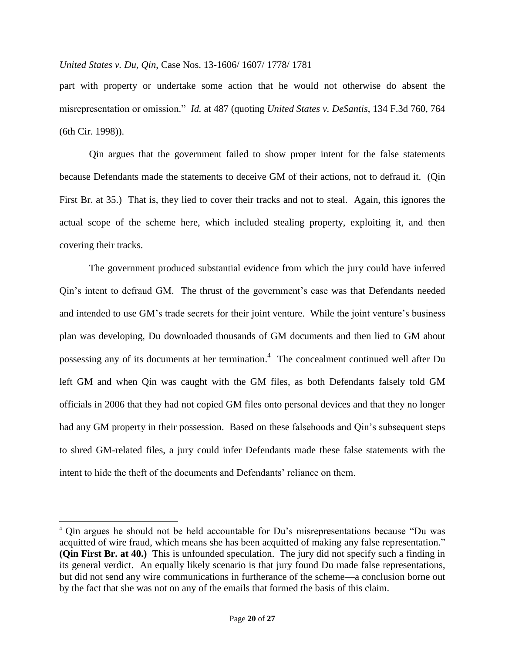part with property or undertake some action that he would not otherwise do absent the misrepresentation or omission." *Id.* at 487 (quoting *United States v. DeSantis*, 134 F.3d 760, 764 (6th Cir. 1998)).

Qin argues that the government failed to show proper intent for the false statements because Defendants made the statements to deceive GM of their actions, not to defraud it.(Qin First Br. at 35.) That is, they lied to cover their tracks and not to steal. Again, this ignores the actual scope of the scheme here, which included stealing property, exploiting it, and then covering their tracks.

The government produced substantial evidence from which the jury could have inferred Qin's intent to defraud GM. The thrust of the government's case was that Defendants needed and intended to use GM's trade secrets for their joint venture. While the joint venture's business plan was developing, Du downloaded thousands of GM documents and then lied to GM about possessing any of its documents at her termination.<sup>4</sup> The concealment continued well after Du left GM and when Qin was caught with the GM files, as both Defendants falsely told GM officials in 2006 that they had not copied GM files onto personal devices and that they no longer had any GM property in their possession. Based on these falsehoods and Qin's subsequent steps to shred GM-related files, a jury could infer Defendants made these false statements with the intent to hide the theft of the documents and Defendants' reliance on them.

l

<sup>4</sup> Qin argues he should not be held accountable for Du's misrepresentations because "Du was acquitted of wire fraud, which means she has been acquitted of making any false representation." **(Qin First Br. at 40.)** This is unfounded speculation. The jury did not specify such a finding in its general verdict. An equally likely scenario is that jury found Du made false representations, but did not send any wire communications in furtherance of the scheme—a conclusion borne out by the fact that she was not on any of the emails that formed the basis of this claim.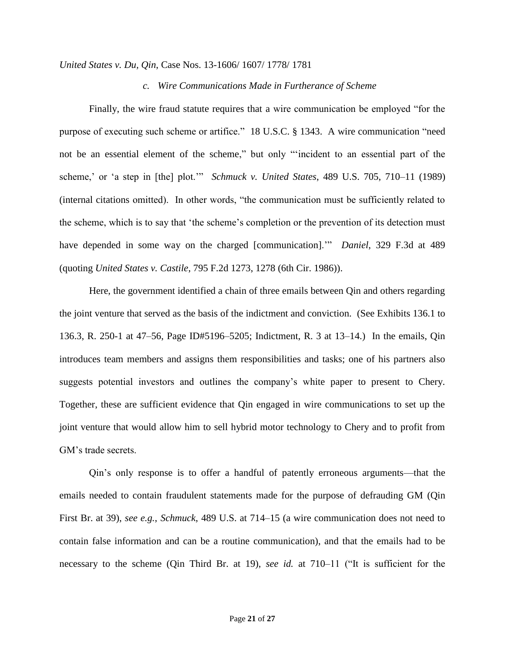### *c. Wire Communications Made in Furtherance of Scheme*

Finally, the wire fraud statute requires that a wire communication be employed "for the purpose of executing such scheme or artifice." 18 U.S.C. § 1343. A wire communication "need not be an essential element of the scheme," but only "'incident to an essential part of the scheme,' or 'a step in [the] plot.'" *Schmuck v. United States*, 489 U.S. 705, 710–11 (1989) (internal citations omitted). In other words, "the communication must be sufficiently related to the scheme, which is to say that 'the scheme's completion or the prevention of its detection must have depended in some way on the charged [communication].'" *Daniel*, 329 F.3d at 489 (quoting *United States v. Castile*, 795 F.2d 1273, 1278 (6th Cir. 1986)).

Here, the government identified a chain of three emails between Qin and others regarding the joint venture that served as the basis of the indictment and conviction. (See Exhibits 136.1 to 136.3, R. 250-1 at 47–56, Page ID#5196–5205; Indictment, R. 3 at 13–14.)In the emails, Qin introduces team members and assigns them responsibilities and tasks; one of his partners also suggests potential investors and outlines the company's white paper to present to Chery. Together, these are sufficient evidence that Qin engaged in wire communications to set up the joint venture that would allow him to sell hybrid motor technology to Chery and to profit from GM's trade secrets.

Qin's only response is to offer a handful of patently erroneous arguments—that the emails needed to contain fraudulent statements made for the purpose of defrauding GM (Qin First Br. at 39), *see e.g.*, *Schmuck*, 489 U.S. at 714–15 (a wire communication does not need to contain false information and can be a routine communication), and that the emails had to be necessary to the scheme (Qin Third Br. at 19), *see id.* at 710–11 ("It is sufficient for the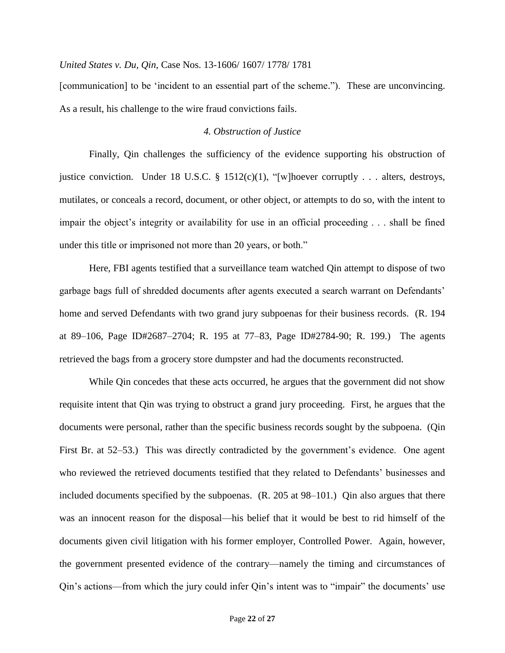[communication] to be 'incident to an essential part of the scheme."). These are unconvincing. As a result, his challenge to the wire fraud convictions fails.

### *4. Obstruction of Justice*

Finally, Qin challenges the sufficiency of the evidence supporting his obstruction of justice conviction. Under 18 U.S.C. § 1512(c)(1), "[w] hoever corruptly . . . alters, destroys, mutilates, or conceals a record, document, or other object, or attempts to do so, with the intent to impair the object's integrity or availability for use in an official proceeding . . . shall be fined under this title or imprisoned not more than 20 years, or both."

Here, FBI agents testified that a surveillance team watched Qin attempt to dispose of two garbage bags full of shredded documents after agents executed a search warrant on Defendants' home and served Defendants with two grand jury subpoenas for their business records. (R. 194 at 89–106, Page ID#2687–2704; R. 195 at 77–83, Page ID#2784-90; R. 199.) The agents retrieved the bags from a grocery store dumpster and had the documents reconstructed.

While Qin concedes that these acts occurred, he argues that the government did not show requisite intent that Qin was trying to obstruct a grand jury proceeding. First, he argues that the documents were personal, rather than the specific business records sought by the subpoena. (Qin First Br. at 52–53.) This was directly contradicted by the government's evidence. One agent who reviewed the retrieved documents testified that they related to Defendants' businesses and included documents specified by the subpoenas. (R. 205 at 98–101.) Qin also argues that there was an innocent reason for the disposal—his belief that it would be best to rid himself of the documents given civil litigation with his former employer, Controlled Power. Again, however, the government presented evidence of the contrary—namely the timing and circumstances of Qin's actions—from which the jury could infer Qin's intent was to "impair" the documents' use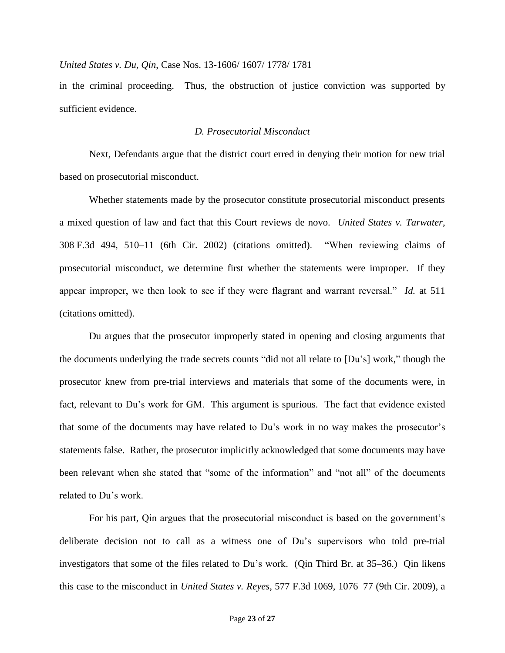in the criminal proceeding. Thus, the obstruction of justice conviction was supported by sufficient evidence.

## *D. Prosecutorial Misconduct*

Next, Defendants argue that the district court erred in denying their motion for new trial based on prosecutorial misconduct.

Whether statements made by the prosecutor constitute prosecutorial misconduct presents a mixed question of law and fact that this Court reviews de novo. *United States v. Tarwater*, 308 F.3d 494, 510–11 (6th Cir. 2002) (citations omitted). "When reviewing claims of prosecutorial misconduct, we determine first whether the statements were improper. If they appear improper, we then look to see if they were flagrant and warrant reversal." *Id.* at 511 (citations omitted).

Du argues that the prosecutor improperly stated in opening and closing arguments that the documents underlying the trade secrets counts "did not all relate to [Du's] work," though the prosecutor knew from pre-trial interviews and materials that some of the documents were, in fact, relevant to Du's work for GM. This argument is spurious. The fact that evidence existed that some of the documents may have related to Du's work in no way makes the prosecutor's statements false. Rather, the prosecutor implicitly acknowledged that some documents may have been relevant when she stated that "some of the information" and "not all" of the documents related to Du's work.

For his part, Qin argues that the prosecutorial misconduct is based on the government's deliberate decision not to call as a witness one of Du's supervisors who told pre-trial investigators that some of the files related to Du's work. (Qin Third Br. at 35–36.) Qin likens this case to the misconduct in *United States v. Reyes*, 577 F.3d 1069, 1076–77 (9th Cir. 2009), a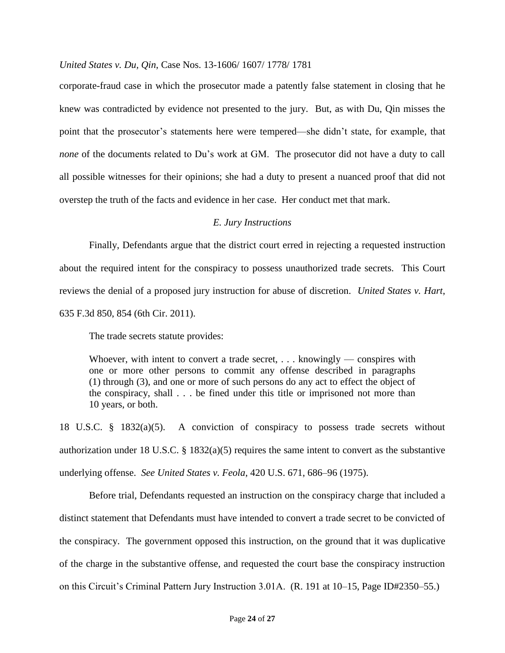corporate-fraud case in which the prosecutor made a patently false statement in closing that he knew was contradicted by evidence not presented to the jury. But, as with Du, Qin misses the point that the prosecutor's statements here were tempered—she didn't state, for example, that *none* of the documents related to Du's work at GM. The prosecutor did not have a duty to call all possible witnesses for their opinions; she had a duty to present a nuanced proof that did not overstep the truth of the facts and evidence in her case. Her conduct met that mark.

# *E. Jury Instructions*

Finally, Defendants argue that the district court erred in rejecting a requested instruction about the required intent for the conspiracy to possess unauthorized trade secrets. This Court reviews the denial of a proposed jury instruction for abuse of discretion. *United States v. Hart*, 635 F.3d 850, 854 (6th Cir. 2011).

The trade secrets statute provides:

Whoever, with intent to convert a trade secret,  $\dots$ . knowingly — conspires with one or more other persons to commit any offense described in paragraphs (1) through (3), and one or more of such persons do any act to effect the object of the conspiracy, shall . . . be fined under this title or imprisoned not more than 10 years, or both.

18 U.S.C. § 1832(a)(5). A conviction of conspiracy to possess trade secrets without authorization under 18 U.S.C. § 1832(a)(5) requires the same intent to convert as the substantive underlying offense. *See United States v. Feola*, 420 U.S. 671, 686–96 (1975).

Before trial, Defendants requested an instruction on the conspiracy charge that included a distinct statement that Defendants must have intended to convert a trade secret to be convicted of the conspiracy. The government opposed this instruction, on the ground that it was duplicative of the charge in the substantive offense, and requested the court base the conspiracy instruction on this Circuit's Criminal Pattern Jury Instruction 3.01A. (R. 191 at 10–15, Page ID#2350–55.)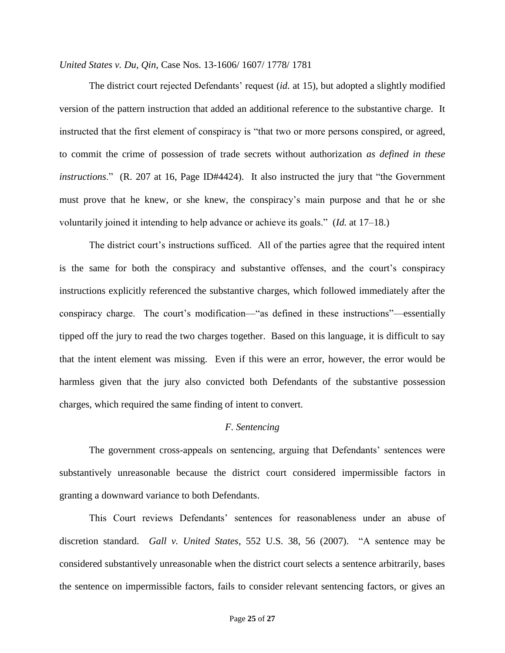The district court rejected Defendants' request (*id.* at 15), but adopted a slightly modified version of the pattern instruction that added an additional reference to the substantive charge. It instructed that the first element of conspiracy is "that two or more persons conspired, or agreed, to commit the crime of possession of trade secrets without authorization *as defined in these instructions*." (R. 207 at 16, Page ID#4424). It also instructed the jury that "the Government must prove that he knew, or she knew, the conspiracy's main purpose and that he or she voluntarily joined it intending to help advance or achieve its goals." (*Id.* at 17–18.)

The district court's instructions sufficed. All of the parties agree that the required intent is the same for both the conspiracy and substantive offenses, and the court's conspiracy instructions explicitly referenced the substantive charges, which followed immediately after the conspiracy charge. The court's modification—"as defined in these instructions"—essentially tipped off the jury to read the two charges together. Based on this language, it is difficult to say that the intent element was missing. Even if this were an error, however, the error would be harmless given that the jury also convicted both Defendants of the substantive possession charges, which required the same finding of intent to convert.

#### *F. Sentencing*

The government cross-appeals on sentencing, arguing that Defendants' sentences were substantively unreasonable because the district court considered impermissible factors in granting a downward variance to both Defendants.

This Court reviews Defendants' sentences for reasonableness under an abuse of discretion standard. *Gall v. United States*, 552 U.S. 38, 56 (2007). "A sentence may be considered substantively unreasonable when the district court selects a sentence arbitrarily, bases the sentence on impermissible factors, fails to consider relevant sentencing factors, or gives an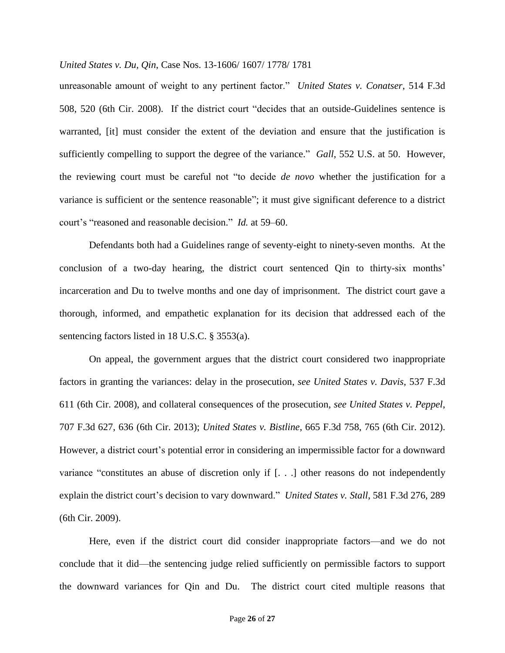unreasonable amount of weight to any pertinent factor." *United States v. Conatser*, 514 F.3d 508, 520 (6th Cir. 2008). If the district court "decides that an outside-Guidelines sentence is warranted, [it] must consider the extent of the deviation and ensure that the justification is sufficiently compelling to support the degree of the variance." *Gall*, 552 U.S. at 50. However, the reviewing court must be careful not "to decide *de novo* whether the justification for a variance is sufficient or the sentence reasonable"; it must give significant deference to a district court's "reasoned and reasonable decision." *Id.* at 59–60.

Defendants both had a Guidelines range of seventy-eight to ninety-seven months. At the conclusion of a two-day hearing, the district court sentenced Qin to thirty-six months' incarceration and Du to twelve months and one day of imprisonment. The district court gave a thorough, informed, and empathetic explanation for its decision that addressed each of the sentencing factors listed in 18 U.S.C. § 3553(a).

On appeal, the government argues that the district court considered two inappropriate factors in granting the variances: delay in the prosecution, *see United States v. Davis*, 537 F.3d 611 (6th Cir. 2008), and collateral consequences of the prosecution, *see United States v. Peppel*, 707 F.3d 627, 636 (6th Cir. 2013); *United States v. Bistline*, 665 F.3d 758, 765 (6th Cir. 2012). However, a district court's potential error in considering an impermissible factor for a downward variance "constitutes an abuse of discretion only if [. . .] other reasons do not independently explain the district court's decision to vary downward." *United States v. Stall*, 581 F.3d 276, 289 (6th Cir. 2009).

Here, even if the district court did consider inappropriate factors—and we do not conclude that it did—the sentencing judge relied sufficiently on permissible factors to support the downward variances for Qin and Du. The district court cited multiple reasons that